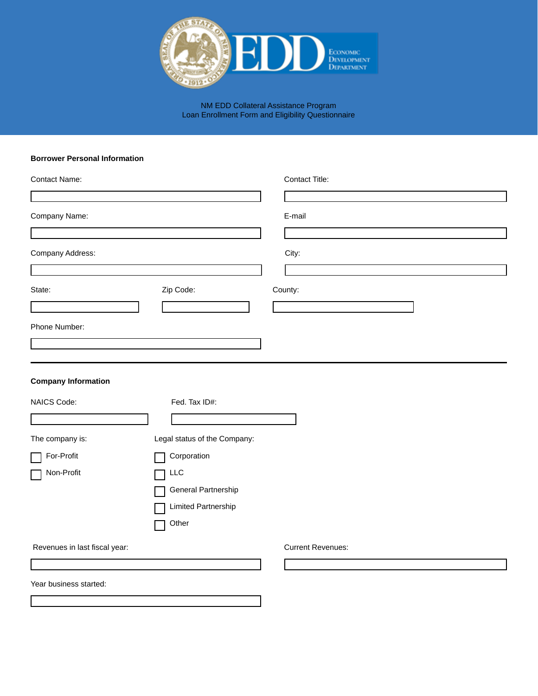

NM EDD Collateral Assistance Program Loan Enrollment Form and Eligibility Questionnaire

## **Borrower Personal Information**

| Contact Name:                 |                              | Contact Title:           |
|-------------------------------|------------------------------|--------------------------|
|                               |                              |                          |
| Company Name:                 |                              | E-mail                   |
|                               |                              |                          |
| Company Address:              |                              | City:                    |
|                               |                              |                          |
| State:                        | Zip Code:                    | County:                  |
|                               |                              |                          |
| Phone Number:                 |                              |                          |
|                               |                              |                          |
| <b>Company Information</b>    |                              |                          |
| NAICS Code:                   | Fed. Tax ID#:                |                          |
|                               |                              |                          |
| The company is:               | Legal status of the Company: |                          |
| For-Profit                    | Corporation                  |                          |
| Non-Profit                    | LLC                          |                          |
|                               | General Partnership          |                          |
|                               | Limited Partnership          |                          |
|                               | Other                        |                          |
| Revenues in last fiscal year: |                              | <b>Current Revenues:</b> |
|                               |                              |                          |
| Year business started:        |                              |                          |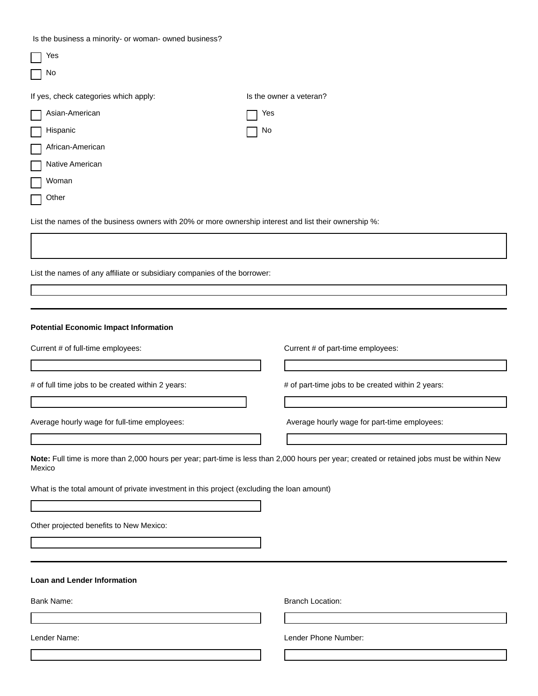Is the business a minority- or woman- owned business?

| Yes                                                                                                   |     |                                                                                                                                             |
|-------------------------------------------------------------------------------------------------------|-----|---------------------------------------------------------------------------------------------------------------------------------------------|
| No                                                                                                    |     |                                                                                                                                             |
| If yes, check categories which apply:                                                                 |     | Is the owner a veteran?                                                                                                                     |
| Asian-American                                                                                        | Yes |                                                                                                                                             |
| Hispanic                                                                                              | No  |                                                                                                                                             |
| African-American                                                                                      |     |                                                                                                                                             |
| Native American                                                                                       |     |                                                                                                                                             |
| Woman                                                                                                 |     |                                                                                                                                             |
| Other                                                                                                 |     |                                                                                                                                             |
| List the names of the business owners with 20% or more ownership interest and list their ownership %: |     |                                                                                                                                             |
|                                                                                                       |     |                                                                                                                                             |
|                                                                                                       |     |                                                                                                                                             |
| List the names of any affiliate or subsidiary companies of the borrower:                              |     |                                                                                                                                             |
|                                                                                                       |     |                                                                                                                                             |
|                                                                                                       |     |                                                                                                                                             |
| <b>Potential Economic Impact Information</b>                                                          |     |                                                                                                                                             |
| Current # of full-time employees:                                                                     |     | Current # of part-time employees:                                                                                                           |
|                                                                                                       |     |                                                                                                                                             |
| # of full time jobs to be created within 2 years:                                                     |     | # of part-time jobs to be created within 2 years:                                                                                           |
|                                                                                                       |     |                                                                                                                                             |
| Average hourly wage for full-time employees:                                                          |     | Average hourly wage for part-time employees:                                                                                                |
|                                                                                                       |     |                                                                                                                                             |
| Mexico                                                                                                |     | Note: Full time is more than 2,000 hours per year; part-time is less than 2,000 hours per year; created or retained jobs must be within New |
| What is the total amount of private investment in this project (excluding the loan amount)            |     |                                                                                                                                             |
|                                                                                                       |     |                                                                                                                                             |
| Other projected benefits to New Mexico:                                                               |     |                                                                                                                                             |
|                                                                                                       |     |                                                                                                                                             |
|                                                                                                       |     |                                                                                                                                             |
| <b>Loan and Lender Information</b>                                                                    |     |                                                                                                                                             |
| Bank Name:                                                                                            |     | <b>Branch Location:</b>                                                                                                                     |
|                                                                                                       |     |                                                                                                                                             |
| Lender Name:                                                                                          |     | Lender Phone Number:                                                                                                                        |
|                                                                                                       |     |                                                                                                                                             |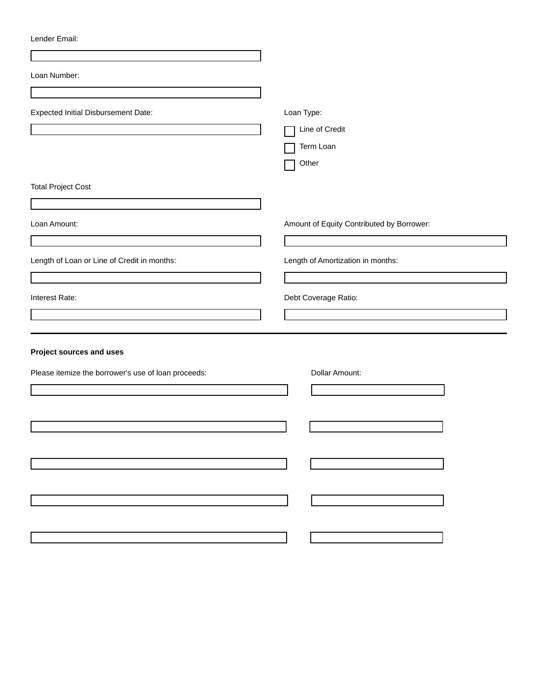| Lender Email: |
|---------------|
|---------------|

| Loan Number:                                        |                                           |
|-----------------------------------------------------|-------------------------------------------|
|                                                     |                                           |
| <b>Expected Initial Disbursement Date:</b>          | Loan Type:                                |
|                                                     | Line of Credit<br>Term Loan               |
|                                                     | Other                                     |
|                                                     |                                           |
| <b>Total Project Cost</b>                           |                                           |
|                                                     |                                           |
| Loan Amount:                                        | Amount of Equity Contributed by Borrower: |
|                                                     |                                           |
| Length of Loan or Line of Credit in months:         | Length of Amortization in months:         |
|                                                     |                                           |
| Interest Rate:                                      | Debt Coverage Ratio:                      |
|                                                     |                                           |
|                                                     |                                           |
| Project sources and uses                            |                                           |
| Please itemize the borrower's use of loan proceeds: | Dollar Amount:                            |
|                                                     |                                           |
|                                                     |                                           |
|                                                     |                                           |
|                                                     |                                           |
|                                                     |                                           |
|                                                     |                                           |
|                                                     |                                           |
|                                                     |                                           |
|                                                     |                                           |
|                                                     |                                           |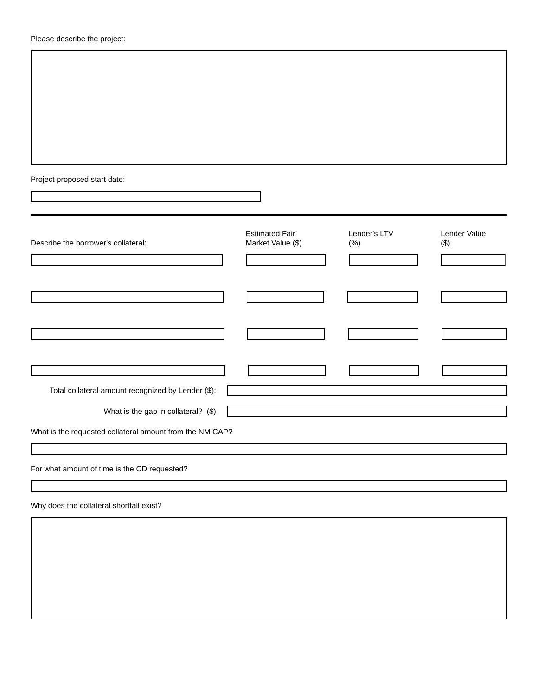| Please describe the project: |  |
|------------------------------|--|
|------------------------------|--|

Project proposed start date:

| Describe the borrower's collateral:                      | <b>Estimated Fair</b><br>Market Value (\$) | Lender's LTV<br>(% ) | Lender Value<br>$(\$)$ |
|----------------------------------------------------------|--------------------------------------------|----------------------|------------------------|
|                                                          |                                            |                      |                        |
|                                                          |                                            |                      |                        |
|                                                          |                                            |                      |                        |
|                                                          |                                            |                      |                        |
|                                                          |                                            |                      |                        |
|                                                          |                                            |                      |                        |
|                                                          |                                            |                      |                        |
|                                                          |                                            |                      |                        |
| Total collateral amount recognized by Lender (\$):       |                                            |                      |                        |
|                                                          |                                            |                      |                        |
| What is the gap in collateral? (\$)                      |                                            |                      |                        |
| What is the requested collateral amount from the NM CAP? |                                            |                      |                        |
|                                                          |                                            |                      |                        |
| For what amount of time is the CD requested?             |                                            |                      |                        |
|                                                          |                                            |                      |                        |
| Why does the collateral shortfall exist?                 |                                            |                      |                        |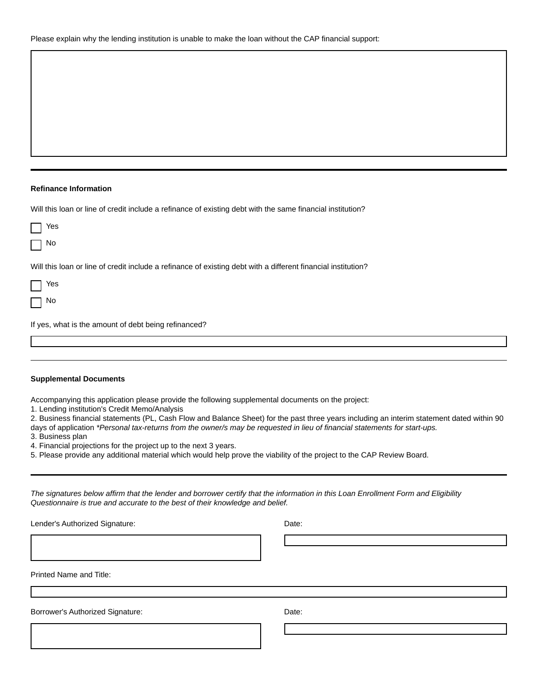## **Refinance Information**

Will this loan or line of credit include a refinance of existing debt with the same financial institution?

|           | Yes                                                                                                           |
|-----------|---------------------------------------------------------------------------------------------------------------|
| a sa T    | No                                                                                                            |
|           | Will this loan or line of credit include a refinance of existing debt with a different financial institution? |
|           | Yes                                                                                                           |
| $\Box$ No |                                                                                                               |
|           | If yes, what is the amount of debt being refinanced?                                                          |

| <b>Supplemental Documents</b> |  |
|-------------------------------|--|
|-------------------------------|--|

Accompanying this application please provide the following supplemental documents on the project:

1. Lending institution's Credit Memo/Analysis

2. Business financial statements (PL, Cash Flow and Balance Sheet) for the past three years including an interim statement dated within 90 days of application *\*Personal tax-returns from the owner/s may be requested in lieu of financial statements for start-ups.*

3. Business plan

4. Financial projections for the project up to the next 3 years.

5. Please provide any additional material which would help prove the viability of the project to the CAP Review Board.

*The signatures below affirm that the lender and borrower certify that the information in this Loan Enrollment Form and Eligibility Questionnaire is true and accurate to the best of their knowledge and belief.* 

Lender's Authorized Signature: Date: Date:

Printed Name and Title:

Borrower's Authorized Signature: Date: Date: